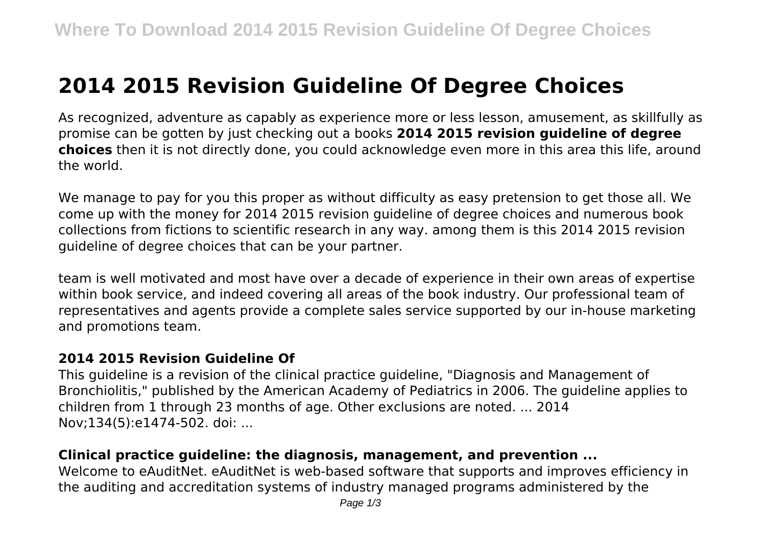# **2014 2015 Revision Guideline Of Degree Choices**

As recognized, adventure as capably as experience more or less lesson, amusement, as skillfully as promise can be gotten by just checking out a books **2014 2015 revision guideline of degree choices** then it is not directly done, you could acknowledge even more in this area this life, around the world.

We manage to pay for you this proper as without difficulty as easy pretension to get those all. We come up with the money for 2014 2015 revision guideline of degree choices and numerous book collections from fictions to scientific research in any way. among them is this 2014 2015 revision guideline of degree choices that can be your partner.

team is well motivated and most have over a decade of experience in their own areas of expertise within book service, and indeed covering all areas of the book industry. Our professional team of representatives and agents provide a complete sales service supported by our in-house marketing and promotions team.

#### **2014 2015 Revision Guideline Of**

This guideline is a revision of the clinical practice guideline, "Diagnosis and Management of Bronchiolitis," published by the American Academy of Pediatrics in 2006. The guideline applies to children from 1 through 23 months of age. Other exclusions are noted. ... 2014 Nov;134(5):e1474-502. doi: ...

## **Clinical practice guideline: the diagnosis, management, and prevention ...**

Welcome to eAuditNet. eAuditNet is web-based software that supports and improves efficiency in the auditing and accreditation systems of industry managed programs administered by the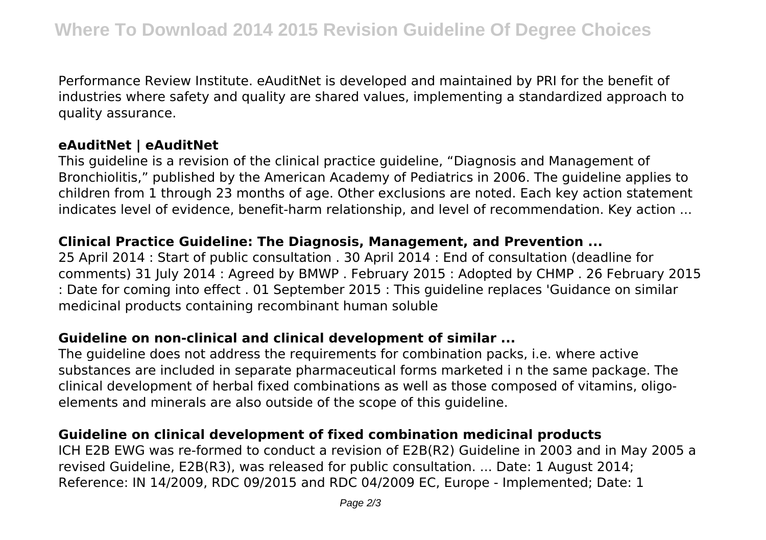Performance Review Institute. eAuditNet is developed and maintained by PRI for the benefit of industries where safety and quality are shared values, implementing a standardized approach to quality assurance.

## **eAuditNet | eAuditNet**

This guideline is a revision of the clinical practice guideline, "Diagnosis and Management of Bronchiolitis," published by the American Academy of Pediatrics in 2006. The guideline applies to children from 1 through 23 months of age. Other exclusions are noted. Each key action statement indicates level of evidence, benefit-harm relationship, and level of recommendation. Key action ...

#### **Clinical Practice Guideline: The Diagnosis, Management, and Prevention ...**

25 April 2014 : Start of public consultation . 30 April 2014 : End of consultation (deadline for comments) 31 July 2014 : Agreed by BMWP . February 2015 : Adopted by CHMP . 26 February 2015 : Date for coming into effect . 01 September 2015 : This guideline replaces 'Guidance on similar medicinal products containing recombinant human soluble

## **Guideline on non-clinical and clinical development of similar ...**

The guideline does not address the requirements for combination packs, i.e. where active substances are included in separate pharmaceutical forms marketed i n the same package. The clinical development of herbal fixed combinations as well as those composed of vitamins, oligoelements and minerals are also outside of the scope of this guideline.

## **Guideline on clinical development of fixed combination medicinal products**

ICH E2B EWG was re-formed to conduct a revision of E2B(R2) Guideline in 2003 and in May 2005 a revised Guideline, E2B(R3), was released for public consultation. ... Date: 1 August 2014; Reference: IN 14/2009, RDC 09/2015 and RDC 04/2009 EC, Europe - Implemented; Date: 1